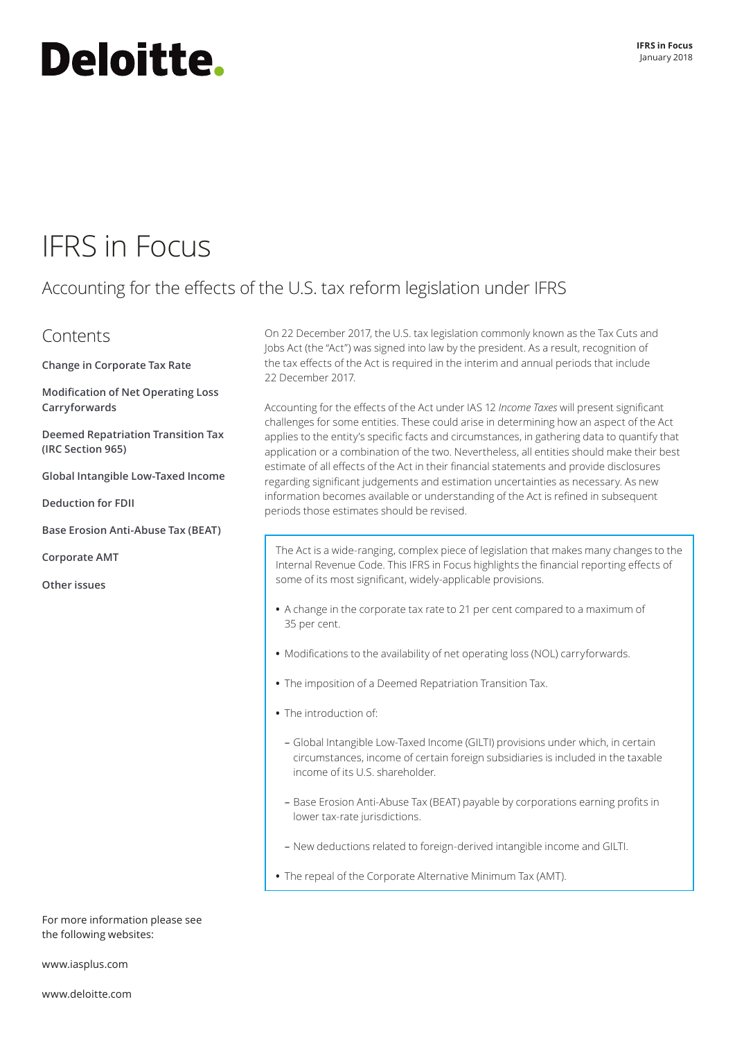# <span id="page-0-0"></span>Deloitte.

## IFRS in Focus

### Accounting for the effects of the U.S. tax reform legislation under IFRS

### Contents

**[Change in Corporate Tax Rate](#page-1-0)**

**[Modification of Net Operating Loss](#page-2-0)  [Carryforwards](#page-2-0)**

**Deemed Repatriation Transition Tax (IRC Section 965)**

**[Global Intangible Low‑Taxed Income](#page-5-0)**

**[Deduction for FDII](#page-6-0)**

**[Base Erosion Anti‑Abuse Tax \(BEAT\)](#page-6-1)**

**[Corporate AMT](#page-7-0)**

**[Other issues](#page-7-1)**

On 22 December 2017, the U.S. tax legislation commonly known as the Tax Cuts and Jobs Act (the "Act") was signed into law by the president. As a result, recognition of the tax effects of the Act is required in the interim and annual periods that include 22 December 2017.

Accounting for the effects of the Act under IAS 12 *Income Taxes* will present significant challenges for some entities. These could arise in determining how an aspect of the Act applies to the entity's specific facts and circumstances, in gathering data to quantify that application or a combination of the two. Nevertheless, all entities should make their best estimate of all effects of the Act in their financial statements and provide disclosures regarding significant judgements and estimation uncertainties as necessary. As new information becomes available or understanding of the Act is refined in subsequent periods those estimates should be revised.

The Act is a wide-ranging, complex piece of legislation that makes many changes to the Internal Revenue Code. This IFRS in Focus highlights the financial reporting effects of some of its most significant, widely‑applicable provisions.

- **•** A change in the corporate tax rate to 21 per cent compared to a maximum of 35 per cent.
- **•** Modifications to the availability of net operating loss (NOL) carryforwards.
- **•** The imposition of a Deemed Repatriation Transition Tax.
- **•** The introduction of:
	- Global Intangible Low‑Taxed Income (GILTI) provisions under which, in certain circumstances, income of certain foreign subsidiaries is included in the taxable income of its U.S. shareholder.
	- Base Erosion Anti‑Abuse Tax (BEAT) payable by corporations earning profits in lower tax-rate jurisdictions.
	- New deductions related to foreign‑derived intangible income and GILTI.
- **•** The repeal of the Corporate Alternative Minimum Tax (AMT).

For more information please see the following websites:

www.iasplus.com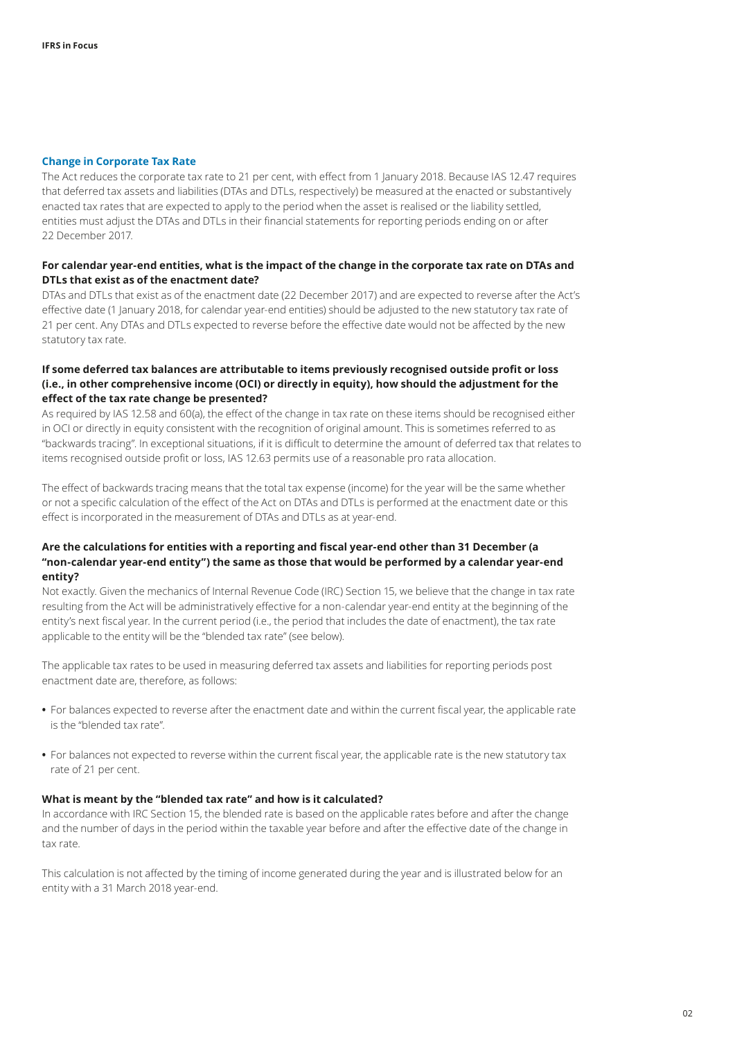#### <span id="page-1-0"></span>**Change in Corporate Tax Rate**

The Act reduces the corporate tax rate to 21 per cent, with effect from 1 January 2018. Because IAS 12.47 requires that deferred tax assets and liabilities (DTAs and DTLs, respectively) be measured at the enacted or substantively enacted tax rates that are expected to apply to the period when the asset is realised or the liability settled, entities must adjust the DTAs and DTLs in their financial statements for reporting periods ending on or after 22 December 2017.

#### **For calendar year‑end entities, what is the impact of the change in the corporate tax rate on DTAs and DTLs that exist as of the enactment date?**

DTAs and DTLs that exist as of the enactment date (22 December 2017) and are expected to reverse after the Act's effective date (1 January 2018, for calendar year-end entities) should be adjusted to the new statutory tax rate of 21 per cent. Any DTAs and DTLs expected to reverse before the effective date would not be affected by the new statutory tax rate.

#### **If some deferred tax balances are attributable to items previously recognised outside profit or loss (i.e., in other comprehensive income (OCI) or directly in equity), how should the adjustment for the effect of the tax rate change be presented?**

As required by IAS 12.58 and 60(a), the effect of the change in tax rate on these items should be recognised either in OCI or directly in equity consistent with the recognition of original amount. This is sometimes referred to as "backwards tracing". In exceptional situations, if it is difficult to determine the amount of deferred tax that relates to items recognised outside profit or loss, IAS 12.63 permits use of a reasonable pro rata allocation.

The effect of backwards tracing means that the total tax expense (income) for the year will be the same whether or not a specific calculation of the effect of the Act on DTAs and DTLs is performed at the enactment date or this effect is incorporated in the measurement of DTAs and DTLs as at year-end.

#### **Are the calculations for entities with a reporting and fiscal year‑end other than 31 December (a "non‑calendar year‑end entity") the same as those that would be performed by a calendar year‑end entity?**

Not exactly. Given the mechanics of Internal Revenue Code (IRC) Section 15, we believe that the change in tax rate resulting from the Act will be administratively effective for a non-calendar year-end entity at the beginning of the entity's next fiscal year. In the current period (i.e., the period that includes the date of enactment), the tax rate applicable to the entity will be the "blended tax rate" (see below).

The applicable tax rates to be used in measuring deferred tax assets and liabilities for reporting periods post enactment date are, therefore, as follows:

- **•** For balances expected to reverse after the enactment date and within the current fiscal year, the applicable rate is the "blended tax rate".
- **•** For balances not expected to reverse within the current fiscal year, the applicable rate is the new statutory tax rate of 21 per cent.

#### **What is meant by the "blended tax rate" and how is it calculated?**

In accordance with IRC Section 15, the blended rate is based on the applicable rates before and after the change and the number of days in the period within the taxable year before and after the effective date of the change in tax rate.

This calculation is not affected by the timing of income generated during the year and is illustrated below for an entity with a 31 March 2018 year-end.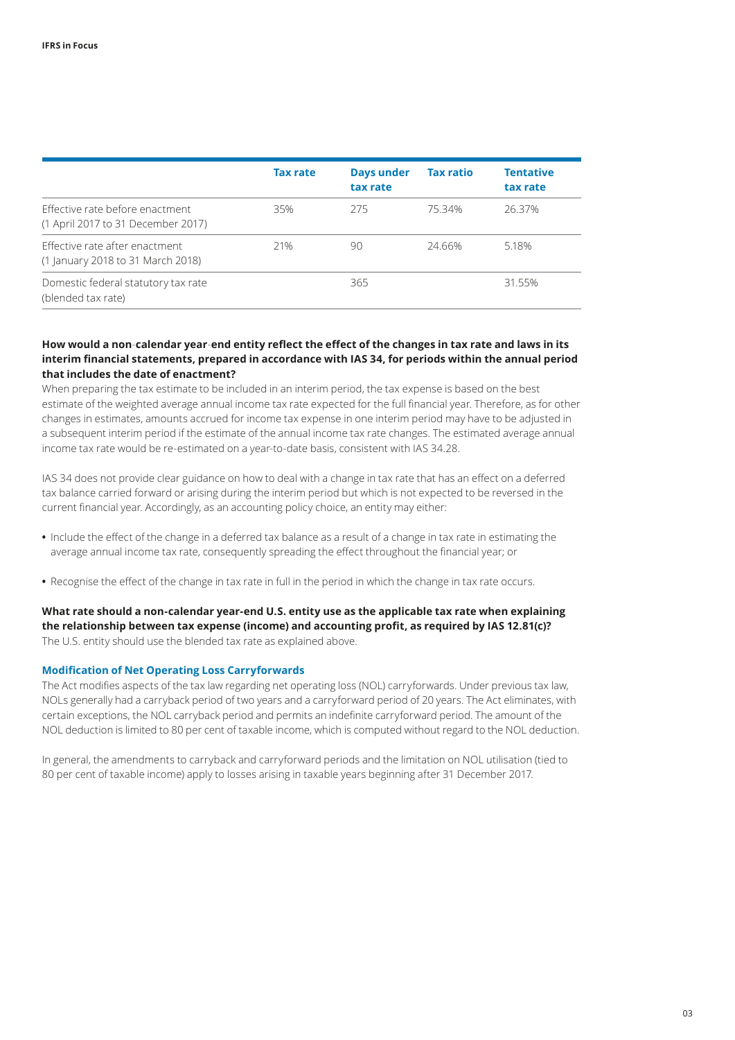|                                                                       | <b>Tax rate</b> | <b>Days under</b><br>tax rate | <b>Tax ratio</b> | <b>Tentative</b><br>tax rate |
|-----------------------------------------------------------------------|-----------------|-------------------------------|------------------|------------------------------|
| Effective rate before enactment<br>(1 April 2017 to 31 December 2017) | 35%             | 275                           | 75.34%           | 26.37%                       |
| Effective rate after enactment<br>(1 January 2018 to 31 March 2018)   | 21%             | 90                            | 24.66%           | 5.18%                        |
| Domestic federal statutory tax rate<br>(blended tax rate)             |                 | 365                           |                  | 31.55%                       |

#### **How would a non**‑**calendar year**‑**end entity reflect the effect of the changes in tax rate and laws in its interim financial statements, prepared in accordance with IAS 34, for periods within the annual period that includes the date of enactment?**

When preparing the tax estimate to be included in an interim period, the tax expense is based on the best estimate of the weighted average annual income tax rate expected for the full financial year. Therefore, as for other changes in estimates, amounts accrued for income tax expense in one interim period may have to be adjusted in a subsequent interim period if the estimate of the annual income tax rate changes. The estimated average annual income tax rate would be re‑estimated on a year‑to‑date basis, consistent with IAS 34.28.

IAS 34 does not provide clear guidance on how to deal with a change in tax rate that has an effect on a deferred tax balance carried forward or arising during the interim period but which is not expected to be reversed in the current financial year. Accordingly, as an accounting policy choice, an entity may either:

- **•** Include the effect of the change in a deferred tax balance as a result of a change in tax rate in estimating the average annual income tax rate, consequently spreading the effect throughout the financial year; or
- **•** Recognise the effect of the change in tax rate in full in the period in which the change in tax rate occurs.

#### **What rate should a non‑calendar year‑end U.S. entity use as the applicable tax rate when explaining the relationship between tax expense (income) and accounting profit, as required by IAS 12.81(c)?** The U.S. entity should use the blended tax rate as explained above.

#### <span id="page-2-0"></span>**Modification of Net Operating Loss Carryforwards**

The Act modifies aspects of the tax law regarding net operating loss (NOL) carryforwards. Under previous tax law, NOLs generally had a carryback period of two years and a carryforward period of 20 years. The Act eliminates, with certain exceptions, the NOL carryback period and permits an indefinite carryforward period. The amount of the NOL deduction is limited to 80 per cent of taxable income, which is computed without regard to the NOL deduction.

In general, the amendments to carryback and carryforward periods and the limitation on NOL utilisation (tied to 80 per cent of taxable income) apply to losses arising in taxable years beginning after 31 December 2017.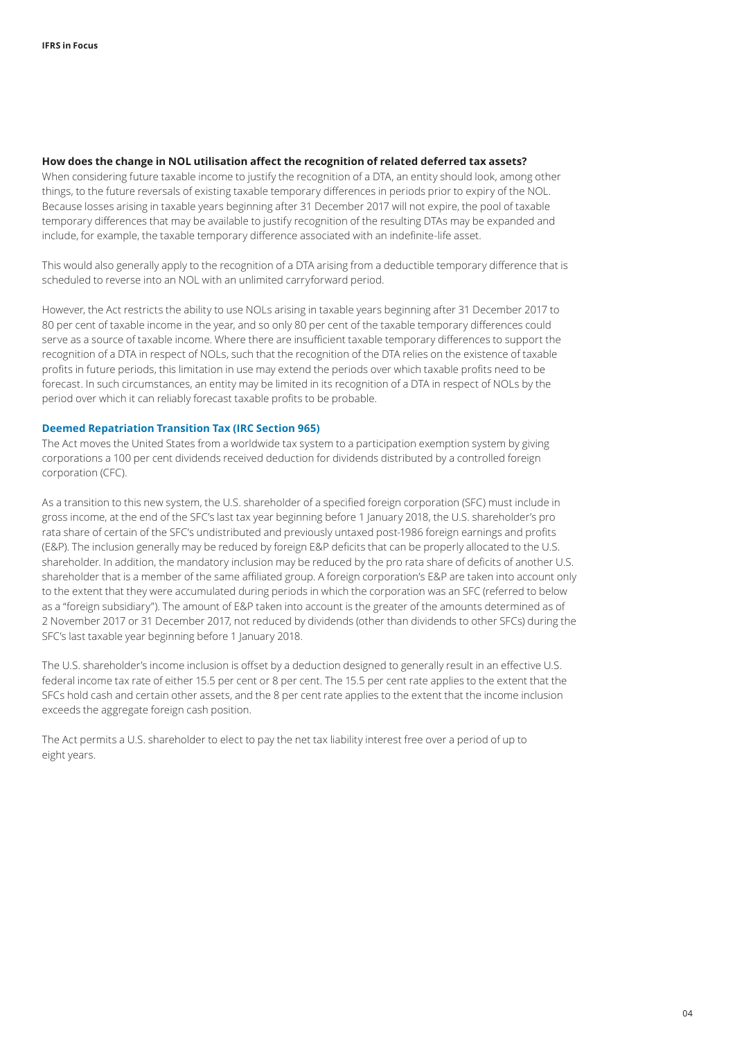#### **How does the change in NOL utilisation affect the recognition of related deferred tax assets?**

When considering future taxable income to justify the recognition of a DTA, an entity should look, among other things, to the future reversals of existing taxable temporary differences in periods prior to expiry of the NOL. Because losses arising in taxable years beginning after 31 December 2017 will not expire, the pool of taxable temporary differences that may be available to justify recognition of the resulting DTAs may be expanded and include, for example, the taxable temporary difference associated with an indefinite-life asset.

This would also generally apply to the recognition of a DTA arising from a deductible temporary difference that is scheduled to reverse into an NOL with an unlimited carryforward period.

However, the Act restricts the ability to use NOLs arising in taxable years beginning after 31 December 2017 to 80 per cent of taxable income in the year, and so only 80 per cent of the taxable temporary differences could serve as a source of taxable income. Where there are insufficient taxable temporary differences to support the recognition of a DTA in respect of NOLs, such that the recognition of the DTA relies on the existence of taxable profits in future periods, this limitation in use may extend the periods over which taxable profits need to be forecast. In such circumstances, an entity may be limited in its recognition of a DTA in respect of NOLs by the period over which it can reliably forecast taxable profits to be probable.

#### **Deemed Repatriation Transition Tax (IRC Section 965)**

The Act moves the United States from a worldwide tax system to a participation exemption system by giving corporations a 100 per cent dividends received deduction for dividends distributed by a controlled foreign corporation (CFC).

As a transition to this new system, the U.S. shareholder of a specified foreign corporation (SFC) must include in gross income, at the end of the SFC's last tax year beginning before 1 January 2018, the U.S. shareholder's pro rata share of certain of the SFC's undistributed and previously untaxed post-1986 foreign earnings and profits (E&P). The inclusion generally may be reduced by foreign E&P deficits that can be properly allocated to the U.S. shareholder. In addition, the mandatory inclusion may be reduced by the pro rata share of deficits of another U.S. shareholder that is a member of the same affiliated group. A foreign corporation's E&P are taken into account only to the extent that they were accumulated during periods in which the corporation was an SFC (referred to below as a "foreign subsidiary"). The amount of E&P taken into account is the greater of the amounts determined as of 2 November 2017 or 31 December 2017, not reduced by dividends (other than dividends to other SFCs) during the SFC's last taxable year beginning before 1 January 2018.

The U.S. shareholder's income inclusion is offset by a deduction designed to generally result in an effective U.S. federal income tax rate of either 15.5 per cent or 8 per cent. The 15.5 per cent rate applies to the extent that the SFCs hold cash and certain other assets, and the 8 per cent rate applies to the extent that the income inclusion exceeds the aggregate foreign cash position.

The Act permits a U.S. shareholder to elect to pay the net tax liability interest free over a period of up to eight years.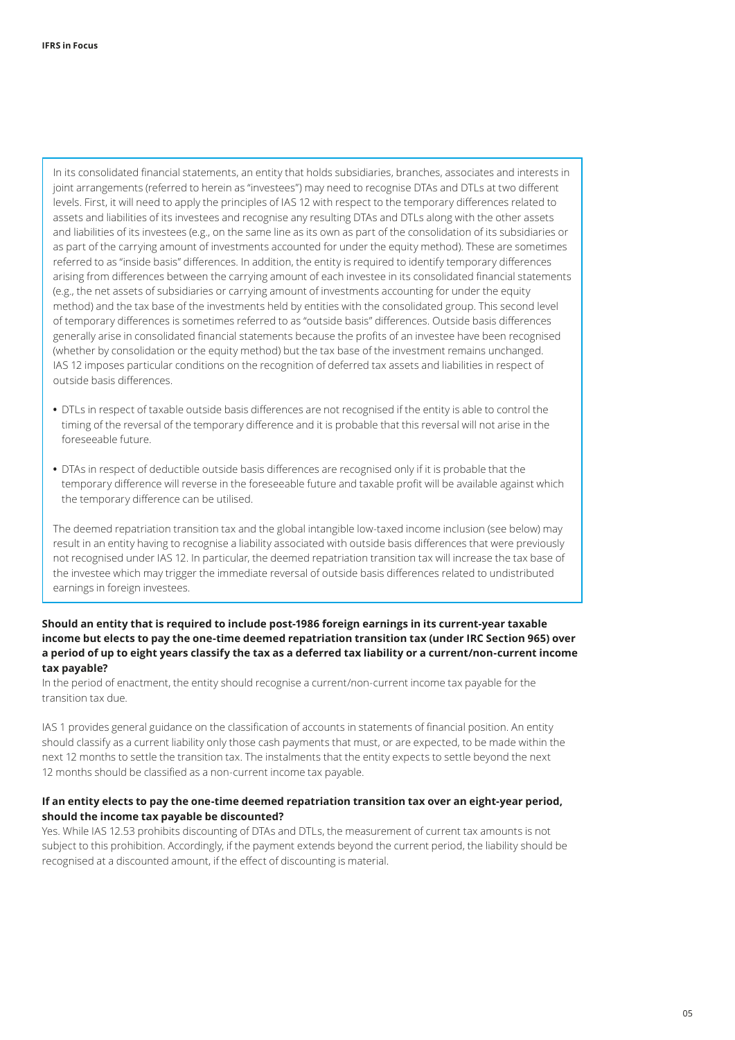In its consolidated financial statements, an entity that holds subsidiaries, branches, associates and interests in joint arrangements (referred to herein as "investees") may need to recognise DTAs and DTLs at two different levels. First, it will need to apply the principles of IAS 12 with respect to the temporary differences related to assets and liabilities of its investees and recognise any resulting DTAs and DTLs along with the other assets and liabilities of its investees (e.g., on the same line as its own as part of the consolidation of its subsidiaries or as part of the carrying amount of investments accounted for under the equity method). These are sometimes referred to as "inside basis" differences. In addition, the entity is required to identify temporary differences arising from differences between the carrying amount of each investee in its consolidated financial statements (e.g., the net assets of subsidiaries or carrying amount of investments accounting for under the equity method) and the tax base of the investments held by entities with the consolidated group. This second level of temporary differences is sometimes referred to as "outside basis" differences. Outside basis differences generally arise in consolidated financial statements because the profits of an investee have been recognised (whether by consolidation or the equity method) but the tax base of the investment remains unchanged. IAS 12 imposes particular conditions on the recognition of deferred tax assets and liabilities in respect of outside basis differences.

- **•** DTLs in respect of taxable outside basis differences are not recognised if the entity is able to control the timing of the reversal of the temporary difference and it is probable that this reversal will not arise in the foreseeable future.
- **•** DTAs in respect of deductible outside basis differences are recognised only if it is probable that the temporary difference will reverse in the foreseeable future and taxable profit will be available against which the temporary difference can be utilised.

The deemed repatriation transition tax and the global intangible low‑taxed income inclusion (see below) may result in an entity having to recognise a liability associated with outside basis differences that were previously not recognised under IAS 12. In particular, the deemed repatriation transition tax will increase the tax base of the investee which may trigger the immediate reversal of outside basis differences related to undistributed earnings in foreign investees.

#### **Should an entity that is required to include post‑1986 foreign earnings in its current‑year taxable income but elects to pay the one‑time deemed repatriation transition tax (under IRC Section 965) over a period of up to eight years classify the tax as a deferred tax liability or a current/non‑current income tax payable?**

In the period of enactment, the entity should recognise a current/non-current income tax payable for the transition tax due.

IAS 1 provides general guidance on the classification of accounts in statements of financial position. An entity should classify as a current liability only those cash payments that must, or are expected, to be made within the next 12 months to settle the transition tax. The instalments that the entity expects to settle beyond the next 12 months should be classified as a non-current income tax payable.

#### **If an entity elects to pay the one‑time deemed repatriation transition tax over an eight‑year period, should the income tax payable be discounted?**

Yes. While IAS 12.53 prohibits discounting of DTAs and DTLs, the measurement of current tax amounts is not subject to this prohibition. Accordingly, if the payment extends beyond the current period, the liability should be recognised at a discounted amount, if the effect of discounting is material.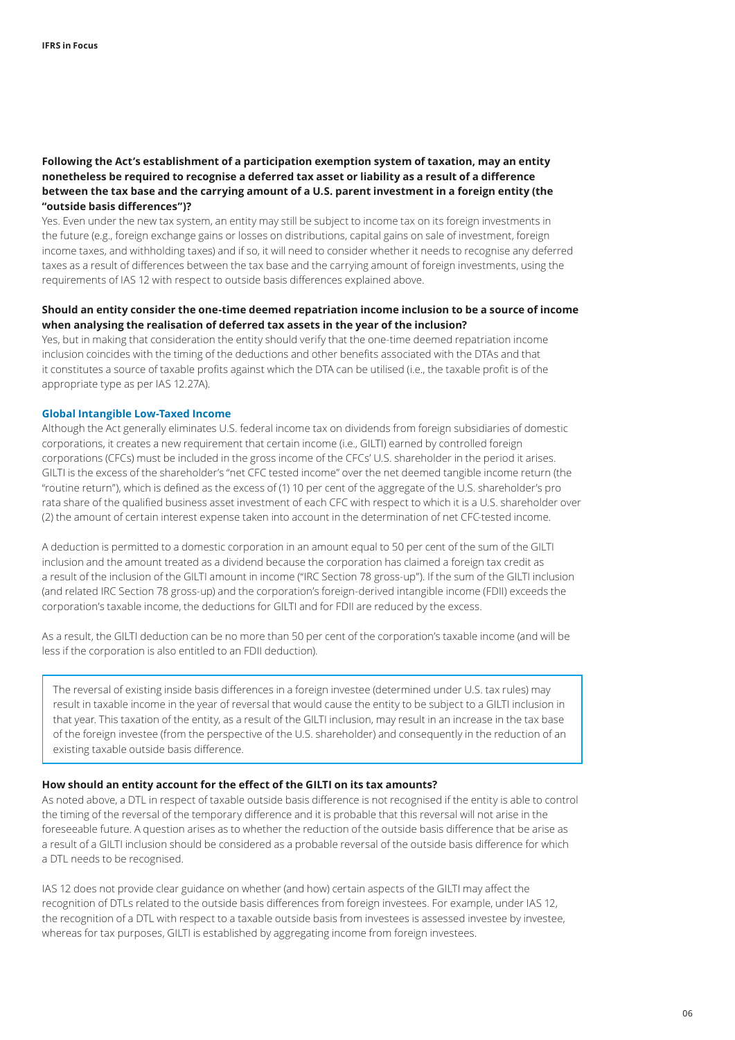#### **Following the Act's establishment of a participation exemption system of taxation, may an entity nonetheless be required to recognise a deferred tax asset or liability as a result of a difference between the tax base and the carrying amount of a U.S. parent investment in a foreign entity (the "outside basis differences")?**

Yes. Even under the new tax system, an entity may still be subject to income tax on its foreign investments in the future (e.g., foreign exchange gains or losses on distributions, capital gains on sale of investment, foreign income taxes, and withholding taxes) and if so, it will need to consider whether it needs to recognise any deferred taxes as a result of differences between the tax base and the carrying amount of foreign investments, using the requirements of IAS 12 with respect to outside basis differences explained above.

#### **Should an entity consider the one‑time deemed repatriation income inclusion to be a source of income when analysing the realisation of deferred tax assets in the year of the inclusion?**

Yes, but in making that consideration the entity should verify that the one-time deemed repatriation income inclusion coincides with the timing of the deductions and other benefits associated with the DTAs and that it constitutes a source of taxable profits against which the DTA can be utilised (i.e., the taxable profit is of the appropriate type as per IAS 12.27A).

#### <span id="page-5-0"></span>**Global Intangible Low‑Taxed Income**

Although the Act generally eliminates U.S. federal income tax on dividends from foreign subsidiaries of domestic corporations, it creates a new requirement that certain income (i.e., GILTI) earned by controlled foreign corporations (CFCs) must be included in the gross income of the CFCs' U.S. shareholder in the period it arises. GILTI is the excess of the shareholder's "net CFC tested income" over the net deemed tangible income return (the "routine return"), which is defined as the excess of (1) 10 per cent of the aggregate of the U.S. shareholder's pro rata share of the qualified business asset investment of each CFC with respect to which it is a U.S. shareholder over (2) the amount of certain interest expense taken into account in the determination of net CFC‑tested income.

A deduction is permitted to a domestic corporation in an amount equal to 50 per cent of the sum of the GILTI inclusion and the amount treated as a dividend because the corporation has claimed a foreign tax credit as a result of the inclusion of the GILTI amount in income ("IRC Section 78 gross-up"). If the sum of the GILTI inclusion (and related IRC Section 78 gross‑up) and the corporation's foreign‑derived intangible income (FDII) exceeds the corporation's taxable income, the deductions for GILTI and for FDII are reduced by the excess.

As a result, the GILTI deduction can be no more than 50 per cent of the corporation's taxable income (and will be less if the corporation is also entitled to an FDII deduction).

The reversal of existing inside basis differences in a foreign investee (determined under U.S. tax rules) may result in taxable income in the year of reversal that would cause the entity to be subject to a GILTI inclusion in that year. This taxation of the entity, as a result of the GILTI inclusion, may result in an increase in the tax base of the foreign investee (from the perspective of the U.S. shareholder) and consequently in the reduction of an existing taxable outside basis difference.

#### **How should an entity account for the effect of the GILTI on its tax amounts?**

As noted above, a DTL in respect of taxable outside basis difference is not recognised if the entity is able to control the timing of the reversal of the temporary difference and it is probable that this reversal will not arise in the foreseeable future. A question arises as to whether the reduction of the outside basis difference that be arise as a result of a GILTI inclusion should be considered as a probable reversal of the outside basis difference for which a DTL needs to be recognised.

IAS 12 does not provide clear guidance on whether (and how) certain aspects of the GILTI may affect the recognition of DTLs related to the outside basis differences from foreign investees. For example, under IAS 12, the recognition of a DTL with respect to a taxable outside basis from investees is assessed investee by investee, whereas for tax purposes, GILTI is established by aggregating income from foreign investees.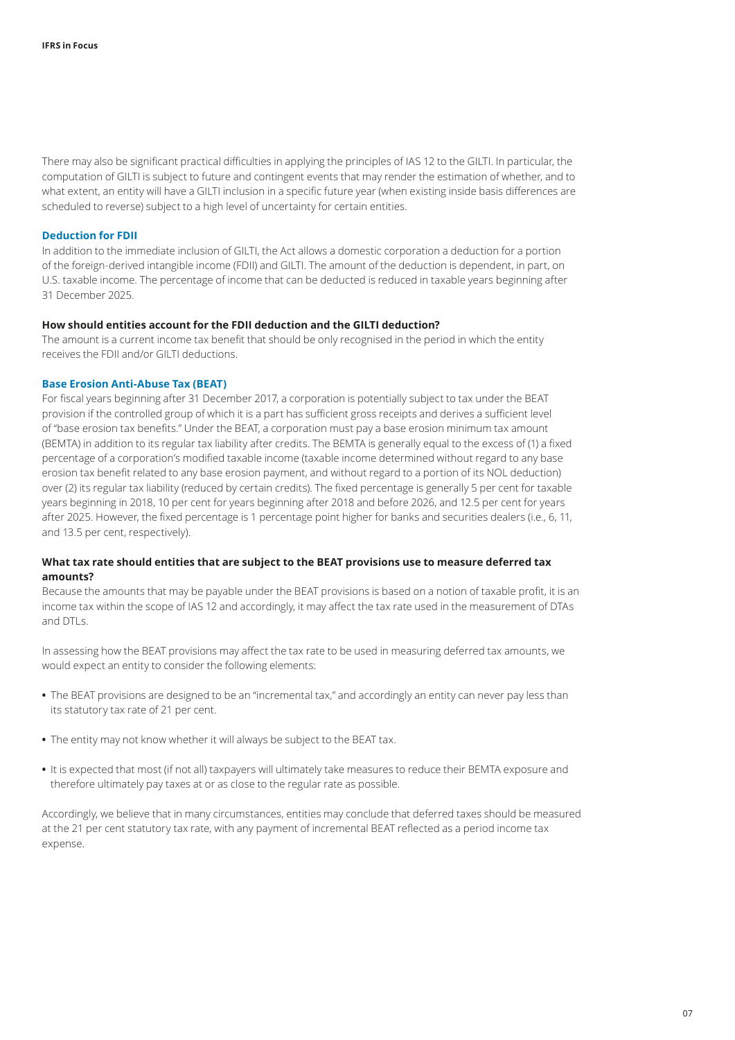There may also be significant practical difficulties in applying the principles of IAS 12 to the GILTI. In particular, the computation of GILTI is subject to future and contingent events that may render the estimation of whether, and to what extent, an entity will have a GILTI inclusion in a specific future year (when existing inside basis differences are scheduled to reverse) subject to a high level of uncertainty for certain entities.

#### <span id="page-6-0"></span>**Deduction for FDII**

In addition to the immediate inclusion of GILTI, the Act allows a domestic corporation a deduction for a portion of the foreign‑derived intangible income (FDII) and GILTI. The amount of the deduction is dependent, in part, on U.S. taxable income. The percentage of income that can be deducted is reduced in taxable years beginning after 31 December 2025.

#### **How should entities account for the FDII deduction and the GILTI deduction?**

The amount is a current income tax benefit that should be only recognised in the period in which the entity receives the FDII and/or GILTI deductions.

#### <span id="page-6-1"></span>**Base Erosion Anti‑Abuse Tax (BEAT)**

For fiscal years beginning after 31 December 2017, a corporation is potentially subject to tax under the BEAT provision if the controlled group of which it is a part has sufficient gross receipts and derives a sufficient level of "base erosion tax benefits." Under the BEAT, a corporation must pay a base erosion minimum tax amount (BEMTA) in addition to its regular tax liability after credits. The BEMTA is generally equal to the excess of (1) a fixed percentage of a corporation's modified taxable income (taxable income determined without regard to any base erosion tax benefit related to any base erosion payment, and without regard to a portion of its NOL deduction) over (2) its regular tax liability (reduced by certain credits). The fixed percentage is generally 5 per cent for taxable years beginning in 2018, 10 per cent for years beginning after 2018 and before 2026, and 12.5 per cent for years after 2025. However, the fixed percentage is 1 percentage point higher for banks and securities dealers (i.e., 6, 11, and 13.5 per cent, respectively).

#### **What tax rate should entities that are subject to the BEAT provisions use to measure deferred tax amounts?**

Because the amounts that may be payable under the BEAT provisions is based on a notion of taxable profit, it is an income tax within the scope of IAS 12 and accordingly, it may affect the tax rate used in the measurement of DTAs and DTLs.

In assessing how the BEAT provisions may affect the tax rate to be used in measuring deferred tax amounts, we would expect an entity to consider the following elements:

- **•** The BEAT provisions are designed to be an "incremental tax," and accordingly an entity can never pay less than its statutory tax rate of 21 per cent.
- **•** The entity may not know whether it will always be subject to the BEAT tax.
- **•** It is expected that most (if not all) taxpayers will ultimately take measures to reduce their BEMTA exposure and therefore ultimately pay taxes at or as close to the regular rate as possible.

Accordingly, we believe that in many circumstances, entities may conclude that deferred taxes should be measured at the 21 per cent statutory tax rate, with any payment of incremental BEAT reflected as a period income tax expense.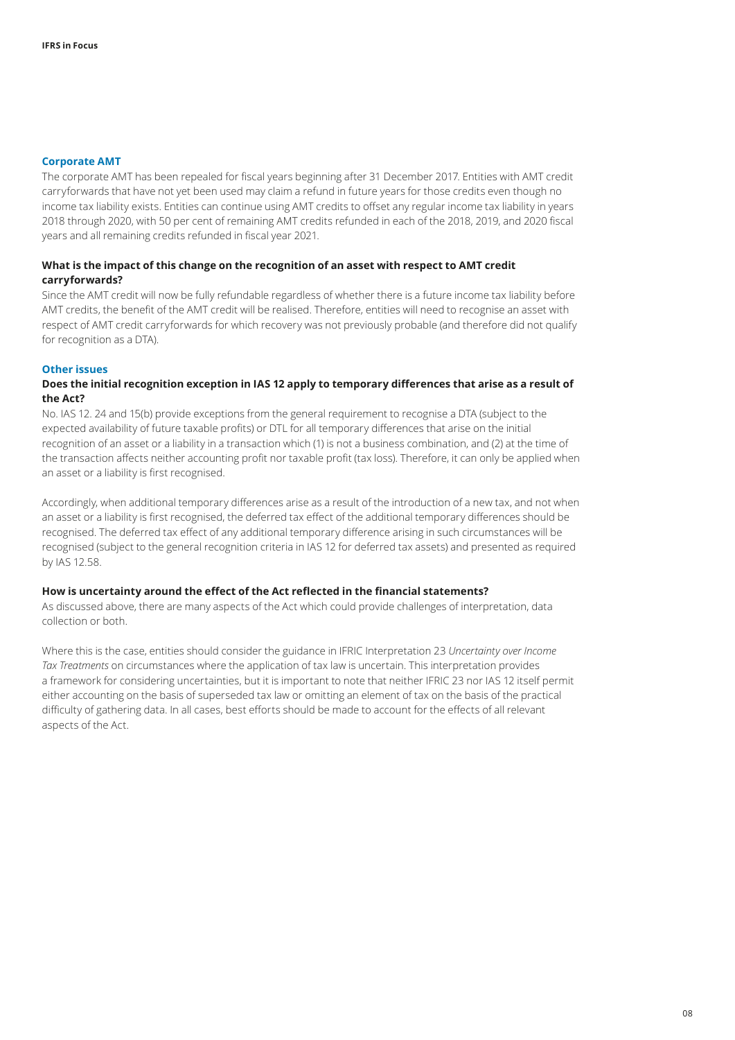#### <span id="page-7-0"></span>**Corporate AMT**

The corporate AMT has been repealed for fiscal years beginning after 31 December 2017. Entities with AMT credit carryforwards that have not yet been used may claim a refund in future years for those credits even though no income tax liability exists. Entities can continue using AMT credits to offset any regular income tax liability in years 2018 through 2020, with 50 per cent of remaining AMT credits refunded in each of the 2018, 2019, and 2020 fiscal years and all remaining credits refunded in fiscal year 2021.

#### **What is the impact of this change on the recognition of an asset with respect to AMT credit carryforwards?**

Since the AMT credit will now be fully refundable regardless of whether there is a future income tax liability before AMT credits, the benefit of the AMT credit will be realised. Therefore, entities will need to recognise an asset with respect of AMT credit carryforwards for which recovery was not previously probable (and therefore did not qualify for recognition as a DTA).

#### <span id="page-7-1"></span>**Other issues**

#### **Does the initial recognition exception in IAS 12 apply to temporary differences that arise as a result of the Act?**

No. IAS 12. 24 and 15(b) provide exceptions from the general requirement to recognise a DTA (subject to the expected availability of future taxable profits) or DTL for all temporary differences that arise on the initial recognition of an asset or a liability in a transaction which (1) is not a business combination, and (2) at the time of the transaction affects neither accounting profit nor taxable profit (tax loss). Therefore, it can only be applied when an asset or a liability is first recognised.

Accordingly, when additional temporary differences arise as a result of the introduction of a new tax, and not when an asset or a liability is first recognised, the deferred tax effect of the additional temporary differences should be recognised. The deferred tax effect of any additional temporary difference arising in such circumstances will be recognised (subject to the general recognition criteria in IAS 12 for deferred tax assets) and presented as required by IAS 12.58.

#### **How is uncertainty around the effect of the Act reflected in the financial statements?**

As discussed above, there are many aspects of the Act which could provide challenges of interpretation, data collection or both.

Where this is the case, entities should consider the guidance in IFRIC Interpretation 23 *Uncertainty over Income Tax Treatments* on circumstances where the application of tax law is uncertain. This interpretation provides a framework for considering uncertainties, but it is important to note that neither IFRIC 23 nor IAS 12 itself permit either accounting on the basis of superseded tax law or omitting an element of tax on the basis of the practical difficulty of gathering data. In all cases, best efforts should be made to account for the effects of all relevant aspects of the Act.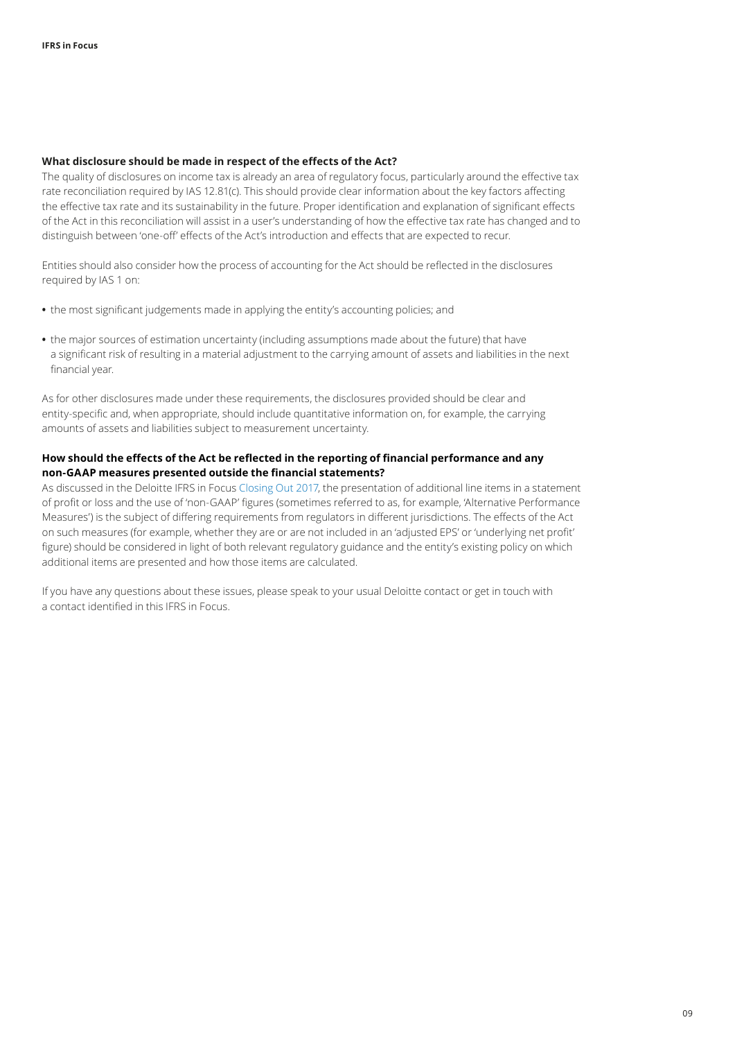#### **What disclosure should be made in respect of the effects of the Act?**

The quality of disclosures on income tax is already an area of regulatory focus, particularly around the effective tax rate reconciliation required by IAS 12.81(c). This should provide clear information about the key factors affecting the effective tax rate and its sustainability in the future. Proper identification and explanation of significant effects of the Act in this reconciliation will assist in a user's understanding of how the effective tax rate has changed and to distinguish between 'one‑off' effects of the Act's introduction and effects that are expected to recur.

Entities should also consider how the process of accounting for the Act should be reflected in the disclosures required by IAS 1 on:

- **•** the most significant judgements made in applying the entity's accounting policies; and
- **•** the major sources of estimation uncertainty (including assumptions made about the future) that have a significant risk of resulting in a material adjustment to the carrying amount of assets and liabilities in the next financial year.

As for other disclosures made under these requirements, the disclosures provided should be clear and entity-specific and, when appropriate, should include quantitative information on, for example, the carrying amounts of assets and liabilities subject to measurement uncertainty.

#### **How should the effects of the Act be reflected in the reporting of financial performance and any non‑GAAP measures presented outside the financial statements?**

As discussed in the Deloitte IFRS in Focus [Closing Out 2017,](https://www.iasplus.com/en/publications/global/ifrs-in-focus/2017/closing-out-2017) the presentation of additional line items in a statement of profit or loss and the use of 'non‑GAAP' figures (sometimes referred to as, for example, 'Alternative Performance Measures') is the subject of differing requirements from regulators in different jurisdictions. The effects of the Act on such measures (for example, whether they are or are not included in an 'adjusted EPS' or 'underlying net profit' figure) should be considered in light of both relevant regulatory guidance and the entity's existing policy on which additional items are presented and how those items are calculated.

If you have any questions about these issues, please speak to your usual Deloitte contact or get in touch with a contact identified in this IFRS in Focus.